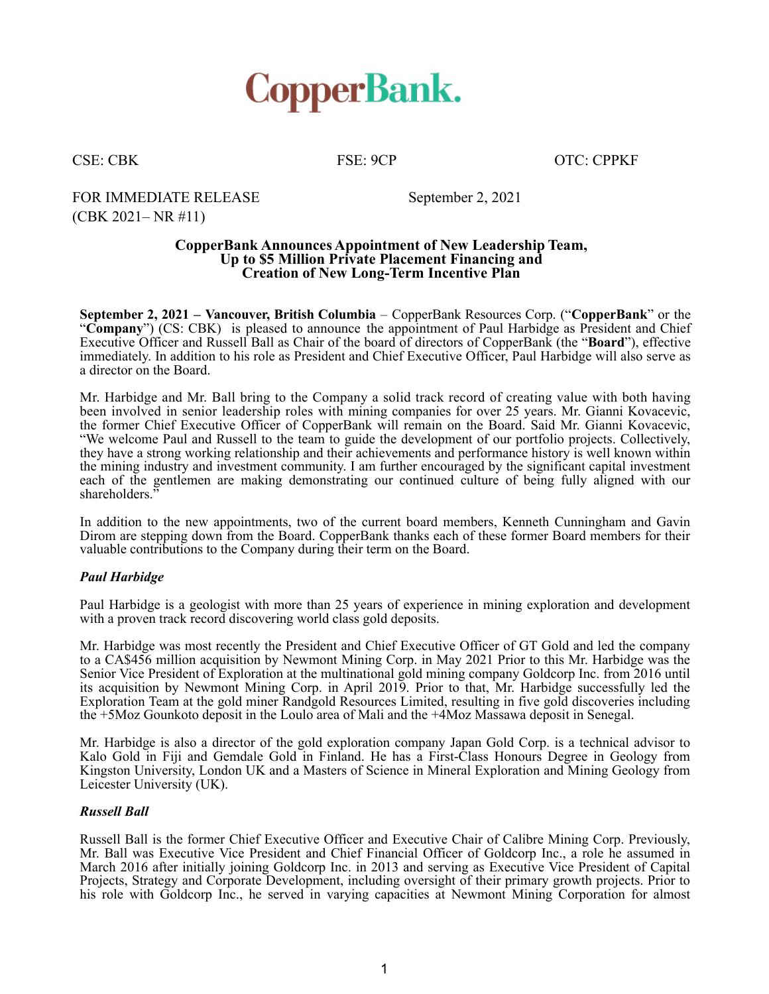# CopperBank.

CSE: CBK FSE: 9CP OTC: CPPKF

FOR IMMEDIATE RELEASE September 2, 2021 (CBK 2021– NR #11)

#### **CopperBank Announces Appointment of New Leadership Team, Up to \$5 Million Private Placement Financing and Creation of New Long-Term Incentive Plan**

**September 2, 2021 – Vancouver, British Columbia – CopperBank Resources Corp. ("CopperBank"** or the "**Company**") (CS: CBK) is pleased to announce the appointment of Paul Harbidge as President and Chief Executive Officer and Russell Ball as Chair of the board of directors of CopperBank (the "**Board**"), effective immediately. In addition to his role as President and Chief Executive Officer, Paul Harbidge will also serve as a director on the Board.

Mr. Harbidge and Mr. Ball bring to the Company a solid track record of creating value with both having been involved in senior leadership roles with mining companies for over 25 years. Mr. Gianni Kovacevic, the former Chief Executive Officer of CopperBank will remain on the Board. Said Mr. Gianni Kovacevic, "We welcome Paul and Russell to the team to guide the development of our portfolio projects. Collectively, they have a strong working relationship and their achievements and performance history is well known within the mining industry and investment community. I am further encouraged by the significant capital investment each of the gentlemen are making demonstrating our continued culture of being fully aligned with our shareholders."

In addition to the new appointments, two of the current board members, Kenneth Cunningham and Gavin Dirom are stepping down from the Board. CopperBank thanks each of these former Board members for their valuable contributions to the Company during their term on the Board.

# *Paul Harbidge*

Paul Harbidge is a geologist with more than 25 years of experience in mining exploration and development with a proven track record discovering world class gold deposits.

Mr. Harbidge was most recently the President and Chief Executive Officer of GT Gold and led the company to a CA\$456 million acquisition by Newmont Mining Corp. in May 2021 Prior to this Mr. Harbidge was the Senior Vice President of Exploration at the multinational gold mining company Goldcorp Inc. from 2016 until its acquisition by Newmont Mining Corp. in April 2019. Prior to that, Mr. Harbidge successfully led the Exploration Team at the gold miner Randgold Resources Limited, resulting in five gold discoveries including the +5Moz Gounkoto deposit in the Loulo area of Mali and the +4Moz Massawa deposit in Senegal.

Mr. Harbidge is also a director of the gold exploration company Japan Gold Corp. is a technical advisor to Kalo Gold in Fiji and Gemdale Gold in Finland. He has a First-Class Honours Degree in Geology from Kingston University, London UK and a Masters of Science in Mineral Exploration and Mining Geology from Leicester University (UK).

# *Russell Ball*

Russell Ball is the former Chief Executive Officer and Executive Chair of Calibre Mining Corp. Previously, Mr. Ball was Executive Vice President and Chief Financial Officer of Goldcorp Inc., a role he assumed in March 2016 after initially joining Goldcorp Inc. in 2013 and serving as Executive Vice President of Capital Projects, Strategy and Corporate Development, including oversight of their primary growth projects. Prior to his role with Goldcorp Inc., he served in varying capacities at Newmont Mining Corporation for almost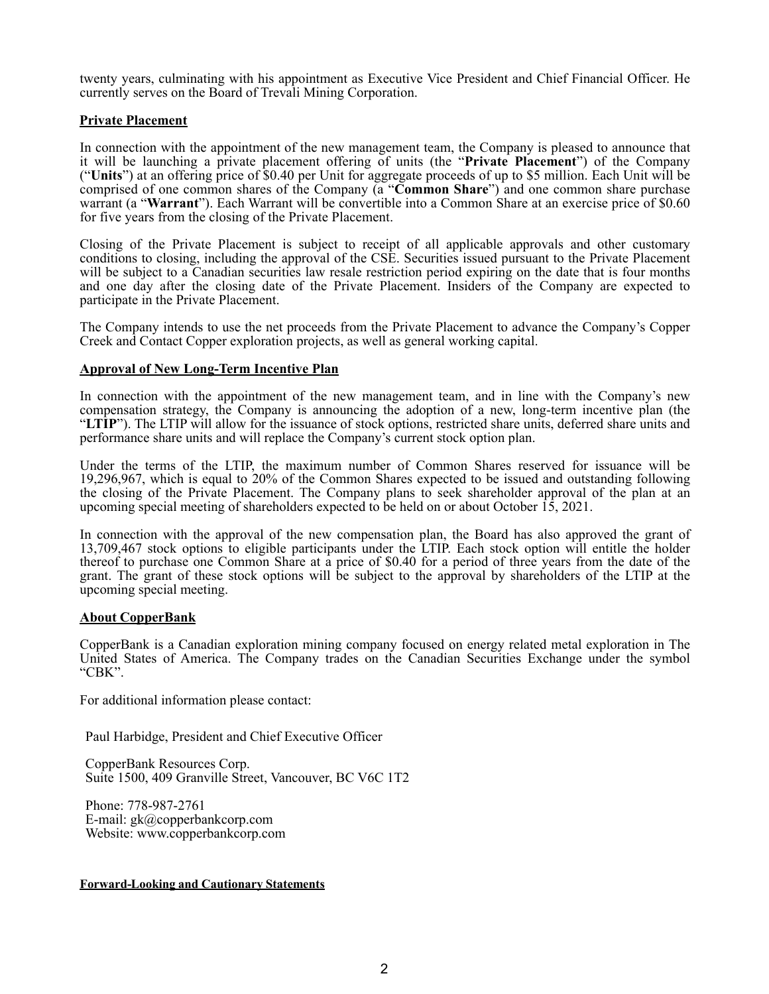twenty years, culminating with his appointment as Executive Vice President and Chief Financial Officer. He currently serves on the Board of Trevali Mining Corporation.

# **Private Placement**

In connection with the appointment of the new management team, the Company is pleased to announce that it will be launching a private placement offering of units (the "**Private Placement**") of the Company ("**Units**") at an offering price of \$0.40 per Unit for aggregate proceeds of up to \$5 million. Each Unit will be comprised of one common shares of the Company (a "**Common Share**") and one common share purchase warrant (a "**Warrant**"). Each Warrant will be convertible into a Common Share at an exercise price of \$0.60 for five years from the closing of the Private Placement.

Closing of the Private Placement is subject to receipt of all applicable approvals and other customary conditions to closing, including the approval of the CSE. Securities issued pursuant to the Private Placement will be subject to a Canadian securities law resale restriction period expiring on the date that is four months and one day after the closing date of the Private Placement. Insiders of the Company are expected to participate in the Private Placement.

The Company intends to use the net proceeds from the Private Placement to advance the Company's Copper Creek and Contact Copper exploration projects, as well as general working capital.

### **Approval of New Long-Term Incentive Plan**

In connection with the appointment of the new management team, and in line with the Company's new compensation strategy, the Company is announcing the adoption of a new, long-term incentive plan (the "LTIP"). The LTIP will allow for the issuance of stock options, restricted share units, deferred share units and performance share units and will replace the Company's current stock option plan.

Under the terms of the LTIP, the maximum number of Common Shares reserved for issuance will be 19,296,967, which is equal to 20% of the Common Shares expected to be issued and outstanding following the closing of the Private Placement. The Company plans to seek shareholder approval of the plan at an upcoming special meeting of shareholders expected to be held on or about October 15, 2021.

In connection with the approval of the new compensation plan, the Board has also approved the grant of 13,709,467 stock options to eligible participants under the LTIP. Each stock option will entitle the holder thereof to purchase one Common Share at a price of \$0.40 for a period of three years from the date of the grant. The grant of these stock options will be subject to the approval by shareholders of the LTIP at the upcoming special meeting.

#### **About CopperBank**

CopperBank is a Canadian exploration mining company focused on energy related metal exploration in The United States of America. The Company trades on the Canadian Securities Exchange under the symbol "CBK".

For additional information please contact:

Paul Harbidge, President and Chief Executive Officer

CopperBank Resources Corp. Suite 1500, 409 Granville Street, Vancouver, BC V6C 1T2

Phone: 778-987-2761 E-mail: gk@copperbankcorp.com Website: www.copperbankcorp.com

#### **Forward-Looking and Cautionary Statements**